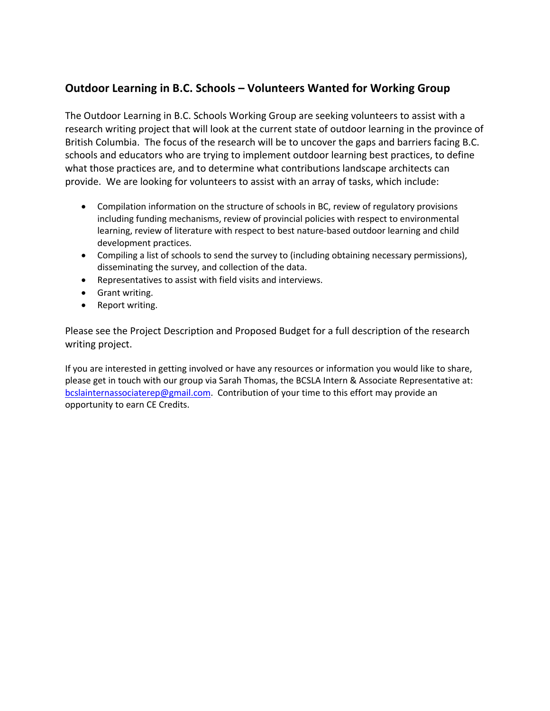#### **Outdoor Learning in B.C. Schools – Volunteers Wanted for Working Group**

The Outdoor Learning in B.C. Schools Working Group are seeking volunteers to assist with a research writing project that will look at the current state of outdoor learning in the province of British Columbia. The focus of the research will be to uncover the gaps and barriers facing B.C. schools and educators who are trying to implement outdoor learning best practices, to define what those practices are, and to determine what contributions landscape architects can provide. We are looking for volunteers to assist with an array of tasks, which include:

- Compilation information on the structure of schools in BC, review of regulatory provisions including funding mechanisms, review of provincial policies with respect to environmental learning, review of literature with respect to best nature-based outdoor learning and child development practices.
- Compiling a list of schools to send the survey to (including obtaining necessary permissions), disseminating the survey, and collection of the data.
- Representatives to assist with field visits and interviews.
- Grant writing.
- Report writing.

Please see the Project Description and Proposed Budget for a full description of the research writing project.

If you are interested in getting involved or have any resources or information you would like to share, please get in touch with our group via Sarah Thomas, the BCSLA Intern & Associate Representative at: bcslainternassociaterep@gmail.com. Contribution of your time to this effort may provide an opportunity to earn CE Credits.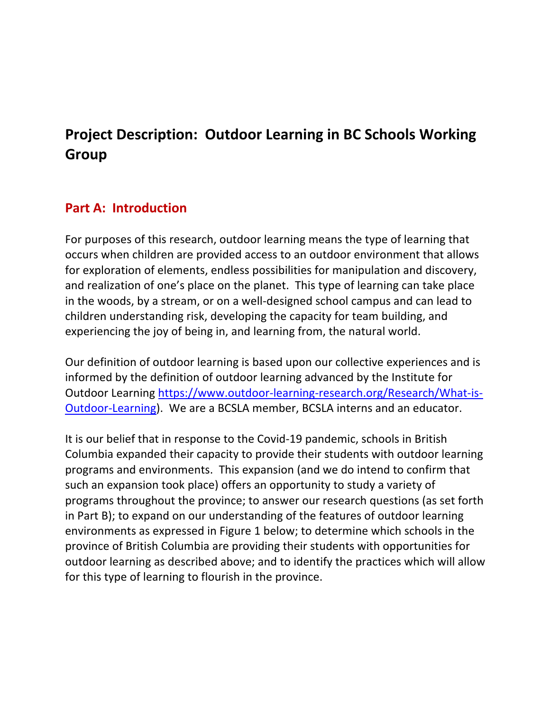# **Project Description: Outdoor Learning in BC Schools Working Group**

## **Part A: Introduction**

For purposes of this research, outdoor learning means the type of learning that occurs when children are provided access to an outdoor environment that allows for exploration of elements, endless possibilities for manipulation and discovery, and realization of one's place on the planet. This type of learning can take place in the woods, by a stream, or on a well-designed school campus and can lead to children understanding risk, developing the capacity for team building, and experiencing the joy of being in, and learning from, the natural world.

Our definition of outdoor learning is based upon our collective experiences and is informed by the definition of outdoor learning advanced by the Institute for Outdoor Learning https://www.outdoor-learning-research.org/Research/What-is-Outdoor-Learning). We are a BCSLA member, BCSLA interns and an educator.

It is our belief that in response to the Covid-19 pandemic, schools in British Columbia expanded their capacity to provide their students with outdoor learning programs and environments. This expansion (and we do intend to confirm that such an expansion took place) offers an opportunity to study a variety of programs throughout the province; to answer our research questions (as set forth in Part B); to expand on our understanding of the features of outdoor learning environments as expressed in Figure 1 below; to determine which schools in the province of British Columbia are providing their students with opportunities for outdoor learning as described above; and to identify the practices which will allow for this type of learning to flourish in the province.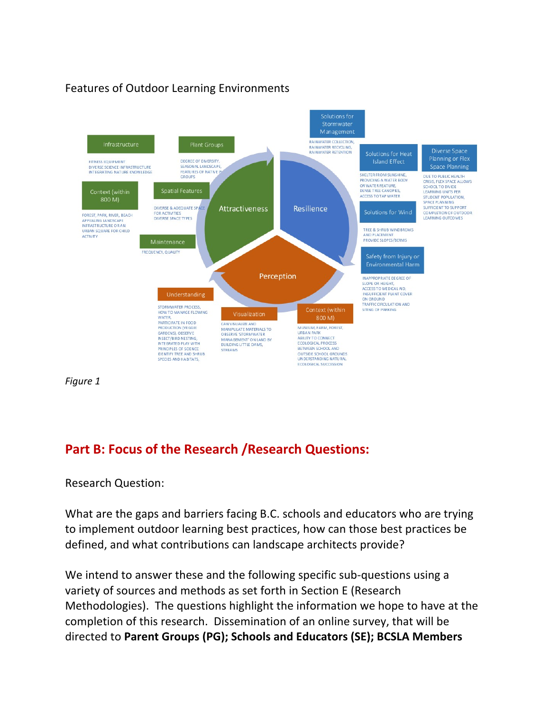### Features of Outdoor Learning Environments



*Figure 1*

## **Part B: Focus of the Research /Research Questions:**

Research Question:

What are the gaps and barriers facing B.C. schools and educators who are trying to implement outdoor learning best practices, how can those best practices be defined, and what contributions can landscape architects provide?

We intend to answer these and the following specific sub-questions using a variety of sources and methods as set forth in Section E (Research Methodologies). The questions highlight the information we hope to have at the completion of this research. Dissemination of an online survey, that will be directed to **Parent Groups (PG); Schools and Educators (SE); BCSLA Members**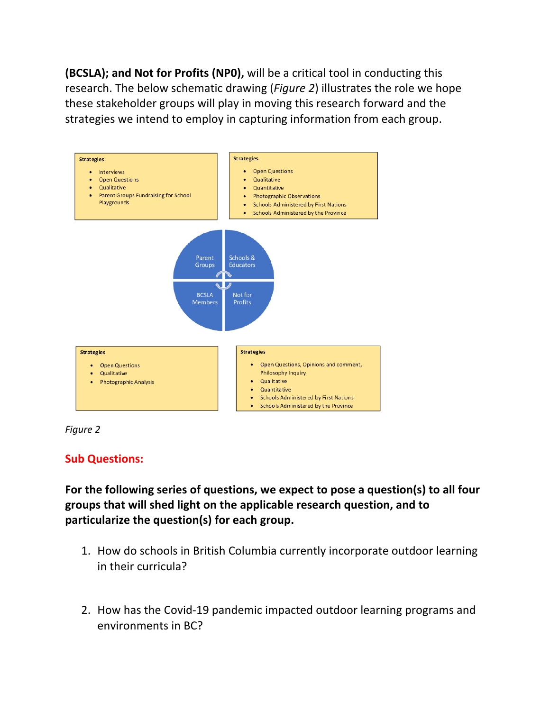**(BCSLA); and Not for Profits (NP0),** will be a critical tool in conducting this research. The below schematic drawing (*Figure 2*) illustrates the role we hope these stakeholder groups will play in moving this research forward and the strategies we intend to employ in capturing information from each group.





#### **Sub Questions:**

**For the following series of questions, we expect to pose a question(s) to all four groups that will shed light on the applicable research question, and to particularize the question(s) for each group.** 

- 1. How do schools in British Columbia currently incorporate outdoor learning in their curricula?
- 2. How has the Covid-19 pandemic impacted outdoor learning programs and environments in BC?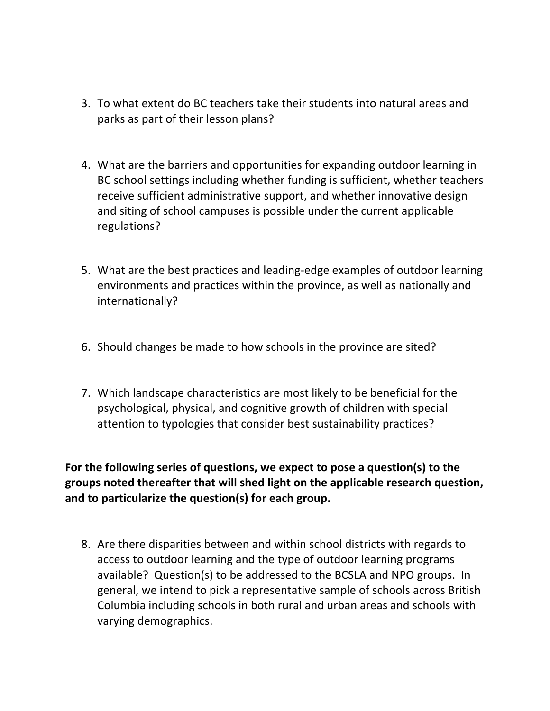- 3. To what extent do BC teachers take their students into natural areas and parks as part of their lesson plans?
- 4. What are the barriers and opportunities for expanding outdoor learning in BC school settings including whether funding is sufficient, whether teachers receive sufficient administrative support, and whether innovative design and siting of school campuses is possible under the current applicable regulations?
- 5. What are the best practices and leading-edge examples of outdoor learning environments and practices within the province, as well as nationally and internationally?
- 6. Should changes be made to how schools in the province are sited?
- 7. Which landscape characteristics are most likely to be beneficial for the psychological, physical, and cognitive growth of children with special attention to typologies that consider best sustainability practices?

**For the following series of questions, we expect to pose a question(s) to the groups noted thereafter that will shed light on the applicable research question, and to particularize the question(s) for each group.** 

8. Are there disparities between and within school districts with regards to access to outdoor learning and the type of outdoor learning programs available? Question(s) to be addressed to the BCSLA and NPO groups. In general, we intend to pick a representative sample of schools across British Columbia including schools in both rural and urban areas and schools with varying demographics.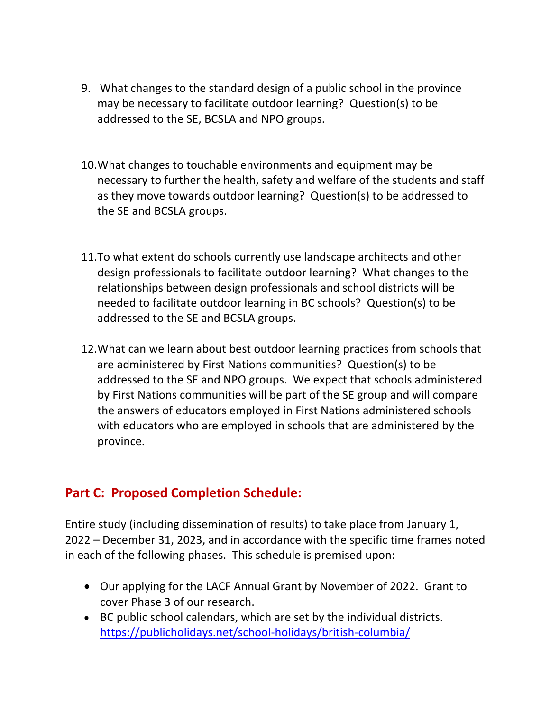- 9. What changes to the standard design of a public school in the province may be necessary to facilitate outdoor learning? Question(s) to be addressed to the SE, BCSLA and NPO groups.
- 10.What changes to touchable environments and equipment may be necessary to further the health, safety and welfare of the students and staff as they move towards outdoor learning? Question(s) to be addressed to the SE and BCSLA groups.
- 11.To what extent do schools currently use landscape architects and other design professionals to facilitate outdoor learning? What changes to the relationships between design professionals and school districts will be needed to facilitate outdoor learning in BC schools? Question(s) to be addressed to the SE and BCSLA groups.
- 12.What can we learn about best outdoor learning practices from schools that are administered by First Nations communities? Question(s) to be addressed to the SE and NPO groups. We expect that schools administered by First Nations communities will be part of the SE group and will compare the answers of educators employed in First Nations administered schools with educators who are employed in schools that are administered by the province.

# **Part C: Proposed Completion Schedule:**

Entire study (including dissemination of results) to take place from January 1, 2022 – December 31, 2023, and in accordance with the specific time frames noted in each of the following phases. This schedule is premised upon:

- Our applying for the LACF Annual Grant by November of 2022. Grant to cover Phase 3 of our research.
- BC public school calendars, which are set by the individual districts. https://publicholidays.net/school-holidays/british-columbia/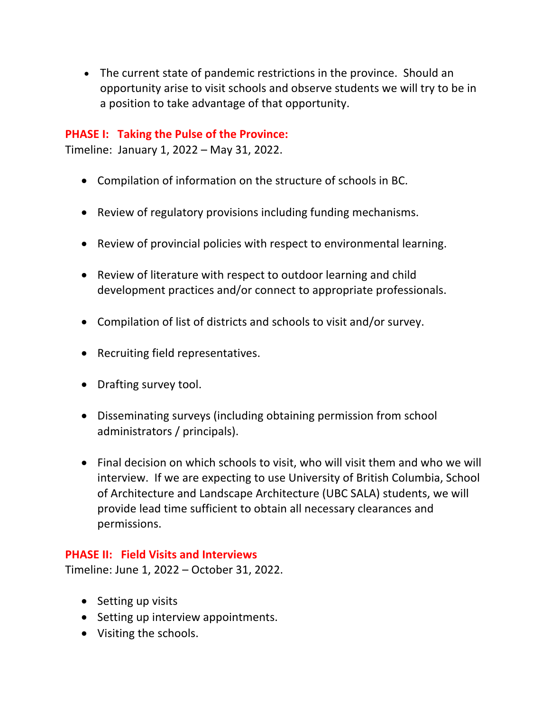• The current state of pandemic restrictions in the province. Should an opportunity arise to visit schools and observe students we will try to be in a position to take advantage of that opportunity.

#### **PHASE I: Taking the Pulse of the Province:**

Timeline: January 1, 2022 – May 31, 2022.

- Compilation of information on the structure of schools in BC.
- Review of regulatory provisions including funding mechanisms.
- Review of provincial policies with respect to environmental learning.
- Review of literature with respect to outdoor learning and child development practices and/or connect to appropriate professionals.
- Compilation of list of districts and schools to visit and/or survey.
- Recruiting field representatives.
- Drafting survey tool.
- Disseminating surveys (including obtaining permission from school administrators / principals).
- Final decision on which schools to visit, who will visit them and who we will interview. If we are expecting to use University of British Columbia, School of Architecture and Landscape Architecture (UBC SALA) students, we will provide lead time sufficient to obtain all necessary clearances and permissions.

#### **PHASE II: Field Visits and Interviews**

Timeline: June 1, 2022 – October 31, 2022.

- Setting up visits
- Setting up interview appointments.
- Visiting the schools.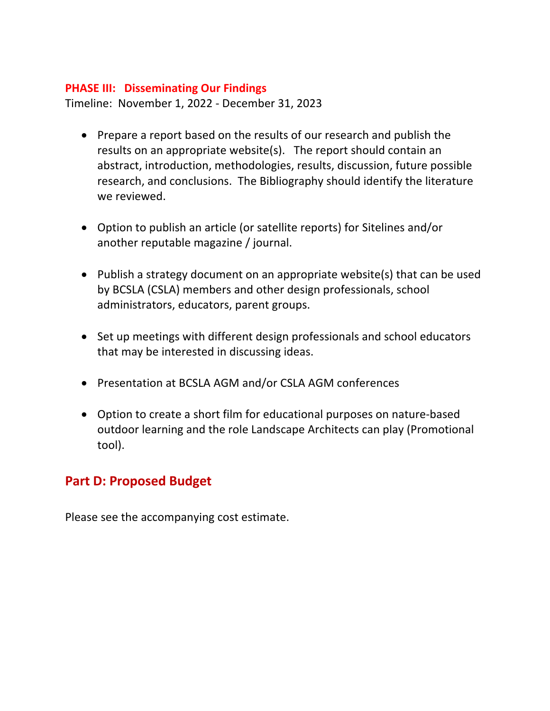#### **PHASE III: Disseminating Our Findings**

Timeline: November 1, 2022 - December 31, 2023

- Prepare a report based on the results of our research and publish the results on an appropriate website(s). The report should contain an abstract, introduction, methodologies, results, discussion, future possible research, and conclusions. The Bibliography should identify the literature we reviewed.
- Option to publish an article (or satellite reports) for Sitelines and/or another reputable magazine / journal.
- Publish a strategy document on an appropriate website(s) that can be used by BCSLA (CSLA) members and other design professionals, school administrators, educators, parent groups.
- Set up meetings with different design professionals and school educators that may be interested in discussing ideas.
- Presentation at BCSLA AGM and/or CSLA AGM conferences
- Option to create a short film for educational purposes on nature-based outdoor learning and the role Landscape Architects can play (Promotional tool).

## **Part D: Proposed Budget**

Please see the accompanying cost estimate.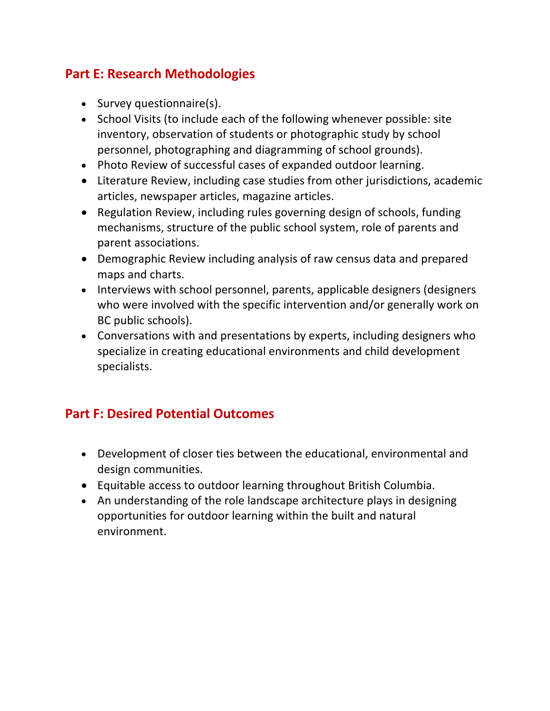# **Part E: Research Methodologies**

- Survey questionnaire(s).
- School Visits (to include each of the following whenever possible: site inventory, observation of students or photographic study by school personnel, photographing and diagramming of school grounds).
- Photo Review of successful cases of expanded outdoor learning.
- Literature Review, including case studies from other jurisdictions, academic articles, newspaper articles, magazine articles.
- Regulation Review, including rules governing design of schools, funding mechanisms, structure of the public school system, role of parents and parent associations.
- Demographic Review including analysis of raw census data and prepared maps and charts.
- Interviews with school personnel, parents, applicable designers (designers who were involved with the specific intervention and/or generally work on BC public schools).
- Conversations with and presentations by experts, including designers who specialize in creating educational environments and child development specialists.

# **Part F: Desired Potential Outcomes**

- Development of closer ties between the educational, environmental and design communities.
- Equitable access to outdoor learning throughout British Columbia.
- An understanding of the role landscape architecture plays in designing opportunities for outdoor learning within the built and natural environment.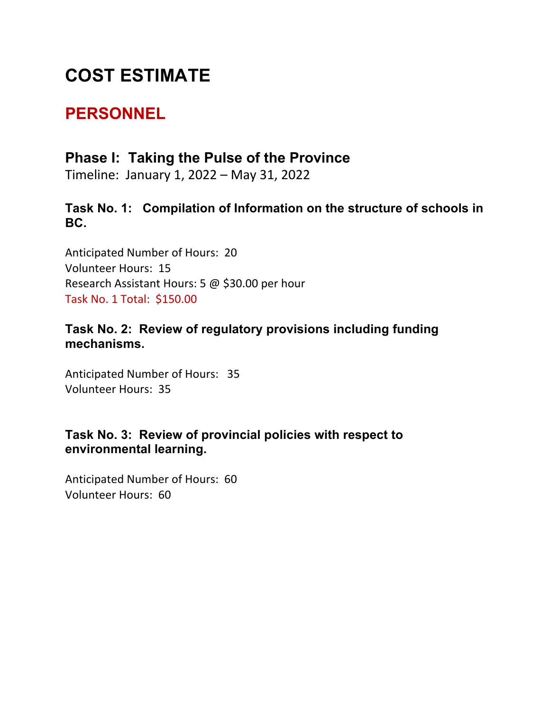# **COST ESTIMATE**

# **PERSONNEL**

# **Phase I: Taking the Pulse of the Province**

Timeline: January 1, 2022 – May 31, 2022

**Task No. 1: Compilation of Information on the structure of schools in BC.** 

Anticipated Number of Hours: 20 Volunteer Hours: 15 Research Assistant Hours: 5 @ \$30.00 per hour Task No. 1 Total: \$150.00

## **Task No. 2: Review of regulatory provisions including funding mechanisms.**

Anticipated Number of Hours: 35 Volunteer Hours: 35

## **Task No. 3: Review of provincial policies with respect to environmental learning.**

Anticipated Number of Hours: 60 Volunteer Hours: 60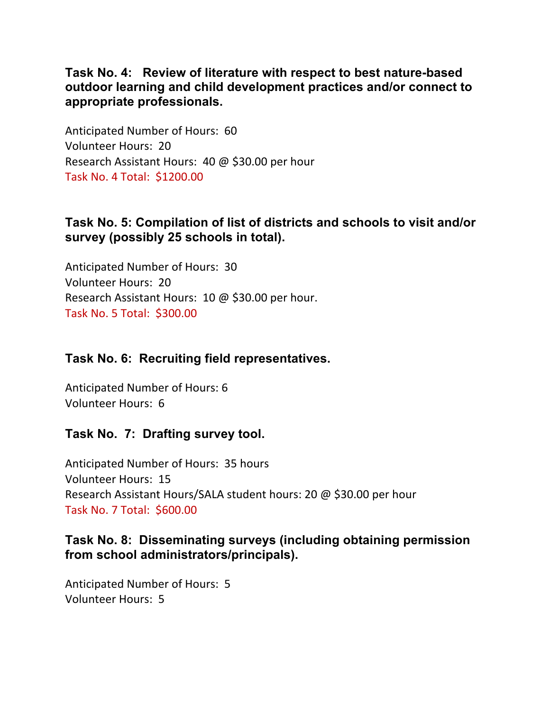**Task No. 4: Review of literature with respect to best nature-based outdoor learning and child development practices and/or connect to appropriate professionals.**

Anticipated Number of Hours: 60 Volunteer Hours: 20 Research Assistant Hours: 40 @ \$30.00 per hour Task No. 4 Total: \$1200.00

### **Task No. 5: Compilation of list of districts and schools to visit and/or survey (possibly 25 schools in total).**

Anticipated Number of Hours: 30 Volunteer Hours: 20 Research Assistant Hours: 10 @ \$30.00 per hour. Task No. 5 Total: \$300.00

## **Task No. 6: Recruiting field representatives.**

Anticipated Number of Hours: 6 Volunteer Hours: 6

## **Task No. 7: Drafting survey tool.**

Anticipated Number of Hours: 35 hours Volunteer Hours: 15 Research Assistant Hours/SALA student hours: 20 @ \$30.00 per hour Task No. 7 Total: \$600.00

### **Task No. 8: Disseminating surveys (including obtaining permission from school administrators/principals).**

Anticipated Number of Hours: 5 Volunteer Hours: 5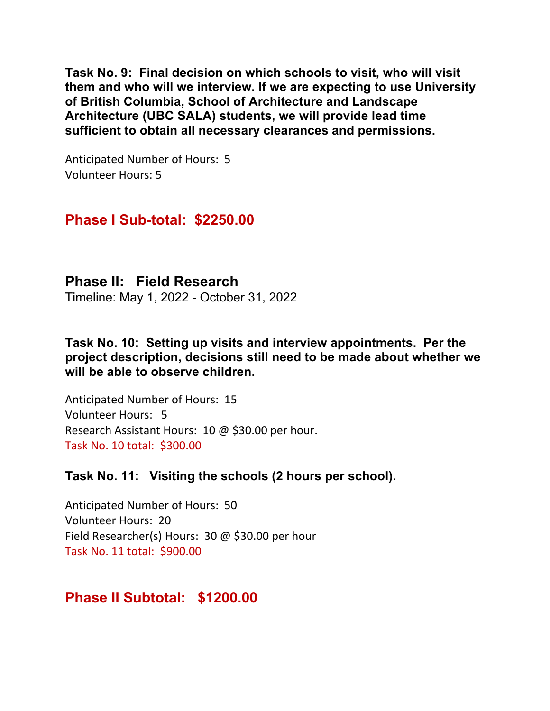**Task No. 9: Final decision on which schools to visit, who will visit them and who will we interview. If we are expecting to use University of British Columbia, School of Architecture and Landscape Architecture (UBC SALA) students, we will provide lead time sufficient to obtain all necessary clearances and permissions.** 

Anticipated Number of Hours: 5 Volunteer Hours: 5

# **Phase I Sub-total: \$2250.00**

**Phase II: Field Research** Timeline: May 1, 2022 - October 31, 2022

**Task No. 10: Setting up visits and interview appointments. Per the project description, decisions still need to be made about whether we will be able to observe children.** 

Anticipated Number of Hours: 15 Volunteer Hours: 5 Research Assistant Hours: 10 @ \$30.00 per hour. Task No. 10 total: \$300.00

#### **Task No. 11: Visiting the schools (2 hours per school).**

Anticipated Number of Hours: 50 Volunteer Hours: 20 Field Researcher(s) Hours: 30 @ \$30.00 per hour Task No. 11 total: \$900.00

# **Phase II Subtotal: \$1200.00**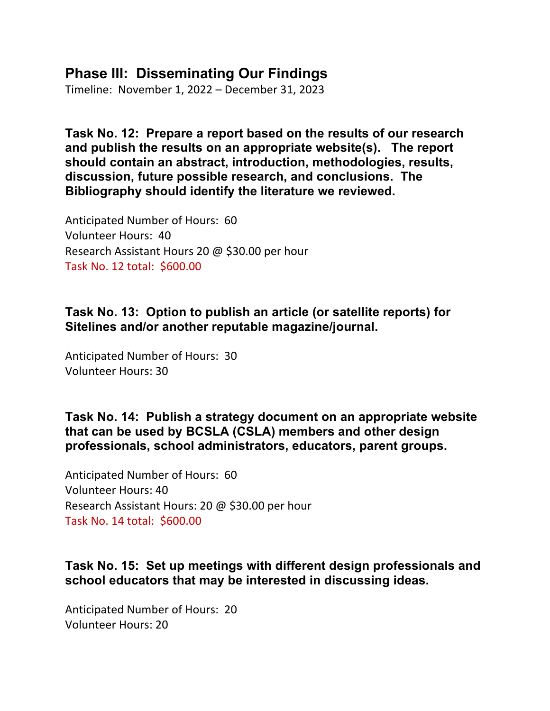# **Phase III: Disseminating Our Findings**

Timeline: November 1, 2022 – December 31, 2023

**Task No. 12: Prepare a report based on the results of our research and publish the results on an appropriate website(s). The report should contain an abstract, introduction, methodologies, results, discussion, future possible research, and conclusions. The Bibliography should identify the literature we reviewed.** 

Anticipated Number of Hours: 60 Volunteer Hours: 40 Research Assistant Hours 20 @ \$30.00 per hour Task No. 12 total: \$600.00

## **Task No. 13: Option to publish an article (or satellite reports) for Sitelines and/or another reputable magazine/journal.**

Anticipated Number of Hours: 30 Volunteer Hours: 30

**Task No. 14: Publish a strategy document on an appropriate website that can be used by BCSLA (CSLA) members and other design professionals, school administrators, educators, parent groups.**

Anticipated Number of Hours: 60 Volunteer Hours: 40 Research Assistant Hours: 20 @ \$30.00 per hour Task No. 14 total: \$600.00

## **Task No. 15: Set up meetings with different design professionals and school educators that may be interested in discussing ideas.**

Anticipated Number of Hours: 20 Volunteer Hours: 20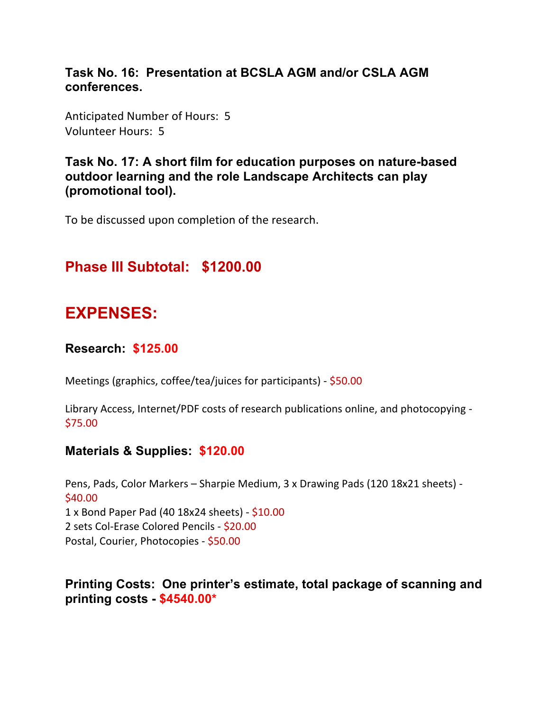## **Task No. 16: Presentation at BCSLA AGM and/or CSLA AGM conferences.**

Anticipated Number of Hours: 5 Volunteer Hours: 5

#### **Task No. 17: A short film for education purposes on nature-based outdoor learning and the role Landscape Architects can play (promotional tool).**

To be discussed upon completion of the research.

# **Phase III Subtotal: \$1200.00**

# **EXPENSES:**

#### **Research: \$125.00**

Meetings (graphics, coffee/tea/juices for participants) - \$50.00

Library Access, Internet/PDF costs of research publications online, and photocopying - \$75.00

#### **Materials & Supplies: \$120.00**

Pens, Pads, Color Markers – Sharpie Medium, 3 x Drawing Pads (120 18x21 sheets) - \$40.00 1 x Bond Paper Pad (40 18x24 sheets) - \$10.00 2 sets Col-Erase Colored Pencils - \$20.00 Postal, Courier, Photocopies - \$50.00

**Printing Costs: One printer's estimate, total package of scanning and printing costs - \$4540.00\***